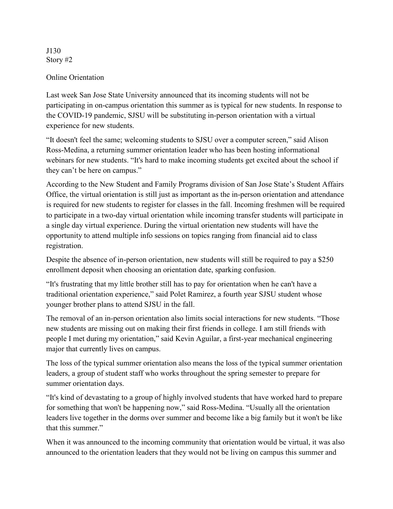J130 Story #2

## Online Orientation

Last week San Jose State University announced that its incoming students will not be participating in on-campus orientation this summer as is typical for new students. In response to the COVID-19 pandemic, SJSU will be substituting in-person orientation with a virtual experience for new students.

"It doesn't feel the same; welcoming students to SJSU over a computer screen," said Alison Ross-Medina, a returning summer orientation leader who has been hosting informational webinars for new students. "It's hard to make incoming students get excited about the school if they can't be here on campus."

According to the New Student and Family Programs division of San Jose State's Student Affairs Office, the virtual orientation is still just as important as the in-person orientation and attendance is required for new students to register for classes in the fall. Incoming freshmen will be required to participate in a two-day virtual orientation while incoming transfer students will participate in a single day virtual experience. During the virtual orientation new students will have the opportunity to attend multiple info sessions on topics ranging from financial aid to class registration.

Despite the absence of in-person orientation, new students will still be required to pay a \$250 enrollment deposit when choosing an orientation date, sparking confusion.

"It's frustrating that my little brother still has to pay for orientation when he can't have a traditional orientation experience," said Polet Ramirez, a fourth year SJSU student whose younger brother plans to attend SJSU in the fall.

The removal of an in-person orientation also limits social interactions for new students. "Those new students are missing out on making their first friends in college. I am still friends with people I met during my orientation," said Kevin Aguilar, a first-year mechanical engineering major that currently lives on campus.

The loss of the typical summer orientation also means the loss of the typical summer orientation leaders, a group of student staff who works throughout the spring semester to prepare for summer orientation days.

"It's kind of devastating to a group of highly involved students that have worked hard to prepare for something that won't be happening now," said Ross-Medina. "Usually all the orientation leaders live together in the dorms over summer and become like a big family but it won't be like that this summer."

When it was announced to the incoming community that orientation would be virtual, it was also announced to the orientation leaders that they would not be living on campus this summer and